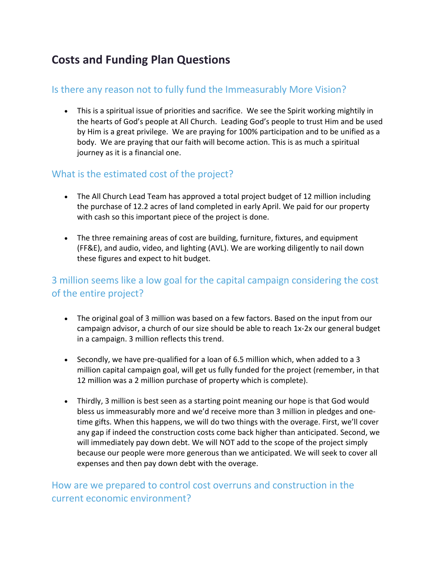# **Costs and Funding Plan Questions**

#### Is there any reason not to fully fund the Immeasurably More Vision?

• This is a spiritual issue of priorities and sacrifice. We see the Spirit working mightily in the hearts of God's people at All Church. Leading God's people to trust Him and be used by Him is a great privilege. We are praying for 100% participation and to be unified as a body. We are praying that our faith will become action. This is as much a spiritual journey as it is a financial one.

#### What is the estimated cost of the project?

- The All Church Lead Team has approved a total project budget of 12 million including the purchase of 12.2 acres of land completed in early April. We paid for our property with cash so this important piece of the project is done.
- The three remaining areas of cost are building, furniture, fixtures, and equipment (FF&E), and audio, video, and lighting (AVL). We are working diligently to nail down these figures and expect to hit budget.

## 3 million seems like a low goal for the capital campaign considering the cost of the entire project?

- The original goal of 3 million was based on a few factors. Based on the input from our campaign advisor, a church of our size should be able to reach 1x-2x our general budget in a campaign. 3 million reflects this trend.
- Secondly, we have pre-qualified for a loan of 6.5 million which, when added to a 3 million capital campaign goal, will get us fully funded for the project (remember, in that 12 million was a 2 million purchase of property which is complete).
- Thirdly, 3 million is best seen as a starting point meaning our hope is that God would bless us immeasurably more and we'd receive more than 3 million in pledges and onetime gifts. When this happens, we will do two things with the overage. First, we'll cover any gap if indeed the construction costs come back higher than anticipated. Second, we will immediately pay down debt. We will NOT add to the scope of the project simply because our people were more generous than we anticipated. We will seek to cover all expenses and then pay down debt with the overage.

### How are we prepared to control cost overruns and construction in the current economic environment?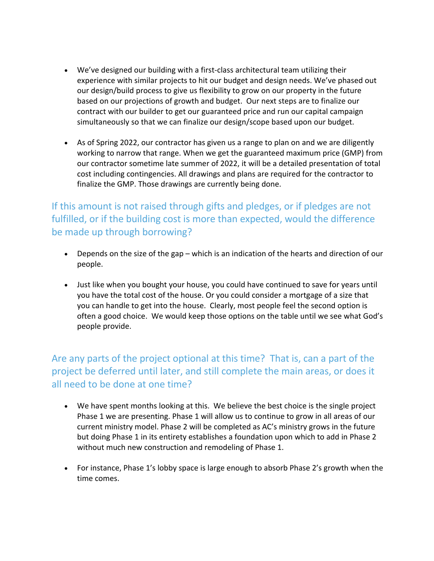- We've designed our building with a first-class architectural team utilizing their experience with similar projects to hit our budget and design needs. We've phased out our design/build process to give us flexibility to grow on our property in the future based on our projections of growth and budget. Our next steps are to finalize our contract with our builder to get our guaranteed price and run our capital campaign simultaneously so that we can finalize our design/scope based upon our budget.
- As of Spring 2022, our contractor has given us a range to plan on and we are diligently working to narrow that range. When we get the guaranteed maximum price (GMP) from our contractor sometime late summer of 2022, it will be a detailed presentation of total cost including contingencies. All drawings and plans are required for the contractor to finalize the GMP. Those drawings are currently being done.

If this amount is not raised through gifts and pledges, or if pledges are not fulfilled, or if the building cost is more than expected, would the difference be made up through borrowing?

- Depends on the size of the gap which is an indication of the hearts and direction of our people.
- Just like when you bought your house, you could have continued to save for years until you have the total cost of the house. Or you could consider a mortgage of a size that you can handle to get into the house. Clearly, most people feel the second option is often a good choice. We would keep those options on the table until we see what God's people provide.

Are any parts of the project optional at this time? That is, can a part of the project be deferred until later, and still complete the main areas, or does it all need to be done at one time?

- We have spent months looking at this. We believe the best choice is the single project Phase 1 we are presenting. Phase 1 will allow us to continue to grow in all areas of our current ministry model. Phase 2 will be completed as AC's ministry grows in the future but doing Phase 1 in its entirety establishes a foundation upon which to add in Phase 2 without much new construction and remodeling of Phase 1.
- For instance, Phase 1's lobby space is large enough to absorb Phase 2's growth when the time comes.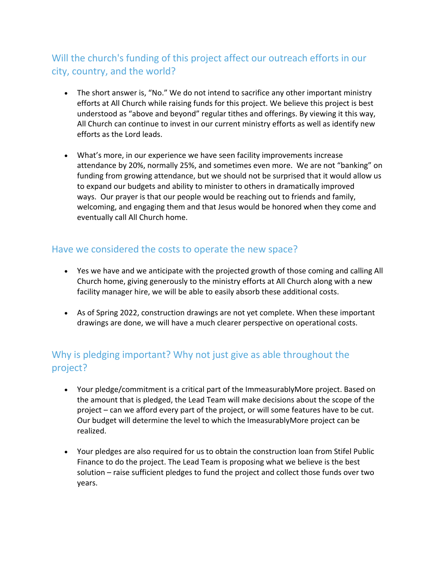## Will the church's funding of this project affect our outreach efforts in our city, country, and the world?

- The short answer is, "No." We do not intend to sacrifice any other important ministry efforts at All Church while raising funds for this project. We believe this project is best understood as "above and beyond" regular tithes and offerings. By viewing it this way, All Church can continue to invest in our current ministry efforts as well as identify new efforts as the Lord leads.
- What's more, in our experience we have seen facility improvements increase attendance by 20%, normally 25%, and sometimes even more. We are not "banking" on funding from growing attendance, but we should not be surprised that it would allow us to expand our budgets and ability to minister to others in dramatically improved ways. Our prayer is that our people would be reaching out to friends and family, welcoming, and engaging them and that Jesus would be honored when they come and eventually call All Church home.

#### Have we considered the costs to operate the new space?

- Yes we have and we anticipate with the projected growth of those coming and calling All Church home, giving generously to the ministry efforts at All Church along with a new facility manager hire, we will be able to easily absorb these additional costs.
- As of Spring 2022, construction drawings are not yet complete. When these important drawings are done, we will have a much clearer perspective on operational costs.

## Why is pledging important? Why not just give as able throughout the project?

- Your pledge/commitment is a critical part of the ImmeasurablyMore project. Based on the amount that is pledged, the Lead Team will make decisions about the scope of the project – can we afford every part of the project, or will some features have to be cut. Our budget will determine the level to which the ImeasurablyMore project can be realized.
- Your pledges are also required for us to obtain the construction loan from Stifel Public Finance to do the project. The Lead Team is proposing what we believe is the best solution – raise sufficient pledges to fund the project and collect those funds over two years.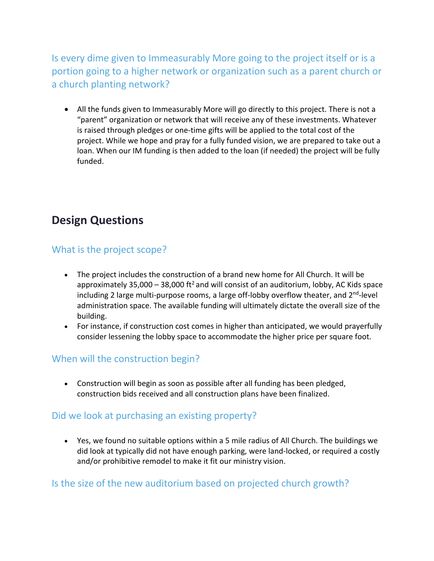Is every dime given to Immeasurably More going to the project itself or is a portion going to a higher network or organization such as a parent church or a church planting network?

• All the funds given to Immeasurably More will go directly to this project. There is not a "parent" organization or network that will receive any of these investments. Whatever is raised through pledges or one-time gifts will be applied to the total cost of the project. While we hope and pray for a fully funded vision, we are prepared to take out a loan. When our IM funding is then added to the loan (if needed) the project will be fully funded.

# **Design Questions**

#### What is the project scope?

- The project includes the construction of a brand new home for All Church. It will be approximately 35,000 – 38,000 ft<sup>2</sup> and will consist of an auditorium, lobby, AC Kids space including 2 large multi-purpose rooms, a large off-lobby overflow theater, and  $2<sup>nd</sup>$ -level administration space. The available funding will ultimately dictate the overall size of the building.
- For instance, if construction cost comes in higher than anticipated, we would prayerfully consider lessening the lobby space to accommodate the higher price per square foot.

#### When will the construction begin?

• Construction will begin as soon as possible after all funding has been pledged, construction bids received and all construction plans have been finalized.

### Did we look at purchasing an existing property?

• Yes, we found no suitable options within a 5 mile radius of All Church. The buildings we did look at typically did not have enough parking, were land-locked, or required a costly and/or prohibitive remodel to make it fit our ministry vision.

#### Is the size of the new auditorium based on projected church growth?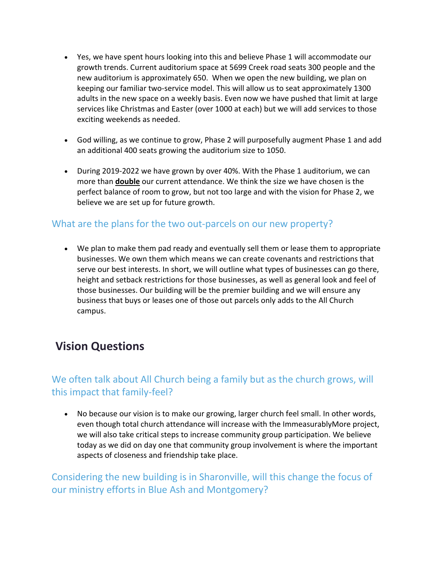- Yes, we have spent hours looking into this and believe Phase 1 will accommodate our growth trends. Current auditorium space at 5699 Creek road seats 300 people and the new auditorium is approximately 650. When we open the new building, we plan on keeping our familiar two-service model. This will allow us to seat approximately 1300 adults in the new space on a weekly basis. Even now we have pushed that limit at large services like Christmas and Easter (over 1000 at each) but we will add services to those exciting weekends as needed.
- God willing, as we continue to grow, Phase 2 will purposefully augment Phase 1 and add an additional 400 seats growing the auditorium size to 1050.
- During 2019-2022 we have grown by over 40%. With the Phase 1 auditorium, we can more than **double** our current attendance. We think the size we have chosen is the perfect balance of room to grow, but not too large and with the vision for Phase 2, we believe we are set up for future growth.

### What are the plans for the two out-parcels on our new property?

• We plan to make them pad ready and eventually sell them or lease them to appropriate businesses. We own them which means we can create covenants and restrictions that serve our best interests. In short, we will outline what types of businesses can go there, height and setback restrictions for those businesses, as well as general look and feel of those businesses. Our building will be the premier building and we will ensure any business that buys or leases one of those out parcels only adds to the All Church campus.

# **Vision Questions**

## We often talk about All Church being a family but as the church grows, will this impact that family-feel?

• No because our vision is to make our growing, larger church feel small. In other words, even though total church attendance will increase with the ImmeasurablyMore project, we will also take critical steps to increase community group participation. We believe today as we did on day one that community group involvement is where the important aspects of closeness and friendship take place.

Considering the new building is in Sharonville, will this change the focus of our ministry efforts in Blue Ash and Montgomery?